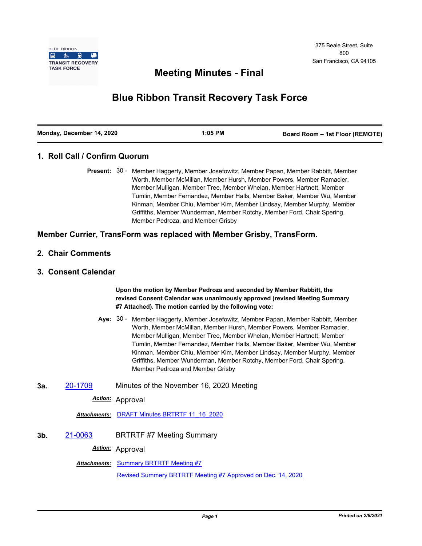

# **Meeting Minutes - Final**

# **Blue Ribbon Transit Recovery Task Force**

| Monday, December 14, 2020 | $1:05$ PM | Board Room - 1st Floor (REMOTE) |
|---------------------------|-----------|---------------------------------|
|                           |           |                                 |

#### **1. Roll Call / Confirm Quorum**

Present: 30 - Member Haggerty, Member Josefowitz, Member Papan, Member Rabbitt, Member Worth, Member McMillan, Member Hursh, Member Powers, Member Ramacier, Member Mulligan, Member Tree, Member Whelan, Member Hartnett, Member Tumlin, Member Fernandez, Member Halls, Member Baker, Member Wu, Member Kinman, Member Chiu, Member Kim, Member Lindsay, Member Murphy, Member Griffiths, Member Wunderman, Member Rotchy, Member Ford, Chair Spering, Member Pedroza, and Member Grisby

#### **Member Currier, TransForm was replaced with Member Grisby, TransForm.**

- **2. Chair Comments**
- **3. Consent Calendar**

**Upon the motion by Member Pedroza and seconded by Member Rabbitt, the revised Consent Calendar was unanimously approved (revised Meeting Summary #7 Attached). The motion carried by the following vote:**

- Aye: 30 Member Haggerty, Member Josefowitz, Member Papan, Member Rabbitt, Member Worth, Member McMillan, Member Hursh, Member Powers, Member Ramacier, Member Mulligan, Member Tree, Member Whelan, Member Hartnett, Member Tumlin, Member Fernandez, Member Halls, Member Baker, Member Wu, Member Kinman, Member Chiu, Member Kim, Member Lindsay, Member Murphy, Member Griffiths, Member Wunderman, Member Rotchy, Member Ford, Chair Spering, Member Pedroza and Member Grisby
- **3a.** [20-1709](http://mtc.legistar.com/gateway.aspx?m=l&id=/matter.aspx?key=21574) Minutes of the November 16, 2020 Meeting

*Action:* Approval

*Attachments:* [DRAFT Minutes BRTRTF 11\\_16\\_2020](http://mtc.legistar.com/gateway.aspx?M=F&ID=86213d43-1ac7-4f04-9a1e-3ca06a588730.pdf)

**3b.** [21-0063](http://mtc.legistar.com/gateway.aspx?m=l&id=/matter.aspx?key=21656) BRTRTF #7 Meeting Summary

*Action:* Approval

**Attachments: [Summary BRTRTF Meeting #7](http://mtc.legistar.com/gateway.aspx?M=F&ID=0e3c705c-0477-470b-82ed-e7ee2cc88639.pdf)** 

[Revised Summery BRTRTF Meeting #7 Approved on Dec. 14, 2020](http://mtc.legistar.com/gateway.aspx?M=F&ID=6404e2b0-d87d-47b5-987b-61f7238aecc6.pdf)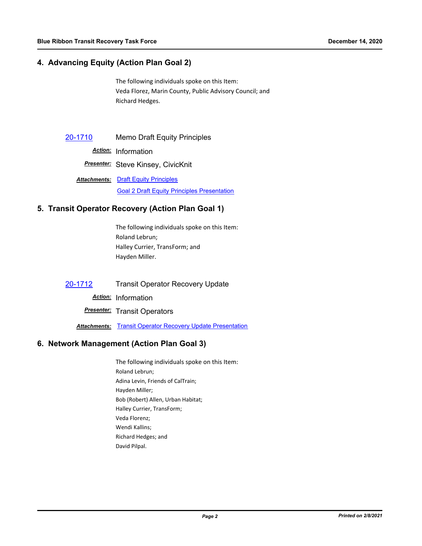## **4. Advancing Equity (Action Plan Goal 2)**

The following individuals spoke on this Item: Veda Florez, Marin County, Public Advisory Council; and Richard Hedges.

[20-1710](http://mtc.legistar.com/gateway.aspx?m=l&id=/matter.aspx?key=21575) Memo Draft Equity Principles

*Action:* Information

*Presenter:* Steve Kinsey, CivicKnit

**Attachments: [Draft Equity Principles](http://mtc.legistar.com/gateway.aspx?M=F&ID=bc7b9338-5f99-4c1d-8e57-037c75e42f9b.pdf)** [Goal 2 Draft Equity Principles Presentation](http://mtc.legistar.com/gateway.aspx?M=F&ID=54313c8e-00f5-46c5-b915-2019d013430f.pdf)

#### **5. Transit Operator Recovery (Action Plan Goal 1)**

The following individuals spoke on this Item: Roland Lebrun; Halley Currier, TransForm; and Hayden Miller.

[20-1712](http://mtc.legistar.com/gateway.aspx?m=l&id=/matter.aspx?key=21577) Transit Operator Recovery Update

*Action:* Information

**Presenter:** Transit Operators

**Attachments: [Transit Operator Recovery Update Presentation](http://mtc.legistar.com/gateway.aspx?M=F&ID=f96f7fe0-7a3d-4f14-bafb-915e78343ece.pdf)** 

#### **6. Network Management (Action Plan Goal 3)**

The following individuals spoke on this Item: Roland Lebrun; Adina Levin, Friends of CalTrain; Hayden Miller; Bob (Robert) Allen, Urban Habitat; Halley Currier, TransForm; Veda Florenz; Wendi Kallins; Richard Hedges; and David Pilpal.